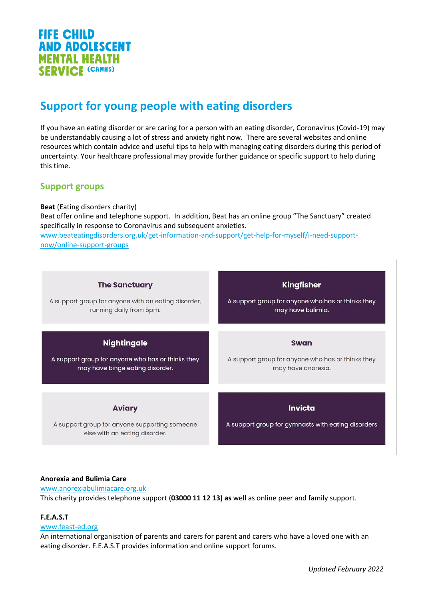

# **Support for young people with eating disorders**

If you have an eating disorder or are caring for a person with an eating disorder, Coronavirus (Covid-19) may be understandably causing a lot of stress and anxiety right now. There are several websites and online resources which contain advice and useful tips to help with managing eating disorders during this period of uncertainty. Your healthcare professional may provide further guidance or specific support to help during this time.

# **Support groups**

# **Beat** (Eating disorders charity)

Beat offer online and telephone support. In addition, Beat has an online group "The Sanctuary" created specifically in response to Coronavirus and subsequent anxieties.

[www.beateatingdisorders.org.uk/get-information-and-support/get-help-for-myself/i-need-support](http://www.beateatingdisorders.org.uk/get-information-and-support/get-help-for-myself/i-need-support-now/online-support-groups)[now/online-support-groups](http://www.beateatingdisorders.org.uk/get-information-and-support/get-help-for-myself/i-need-support-now/online-support-groups)

| <b>The Sanctuary</b>                                                                            | <b>Kingfisher</b>                                                    |
|-------------------------------------------------------------------------------------------------|----------------------------------------------------------------------|
| A support group for anyone with an eating disorder,                                             | A support group for anyone who has or thinks they                    |
| running daily from 5pm.                                                                         | may have bulimia.                                                    |
| <b>Nightingale</b>                                                                              | <b>Swan</b>                                                          |
| A support group for anyone who has or thinks they                                               | A support group for anyone who has or thinks they                    |
| may have binge eating disorder.                                                                 | may have anorexia.                                                   |
| <b>Aviary</b><br>A support group for anyone supporting someone<br>else with an eating disorder. | <b>Invicta</b><br>A support group for gymnasts with eating disorders |

# **Anorexia and Bulimia Care**

[www.anorexiabulimiacare.org.uk](http://www.anorexiabulimiacare.org.uk/) This charity provides telephone support (**03000 11 12 13) as** well as online peer and family support.

# **F.E.A.S.T**

# [www.feast-ed.org](http://www.feast-ed.org/)

An international organisation of parents and carers for parent and carers who have a loved one with an eating disorder. F.E.A.S.T provides information and online support forums.